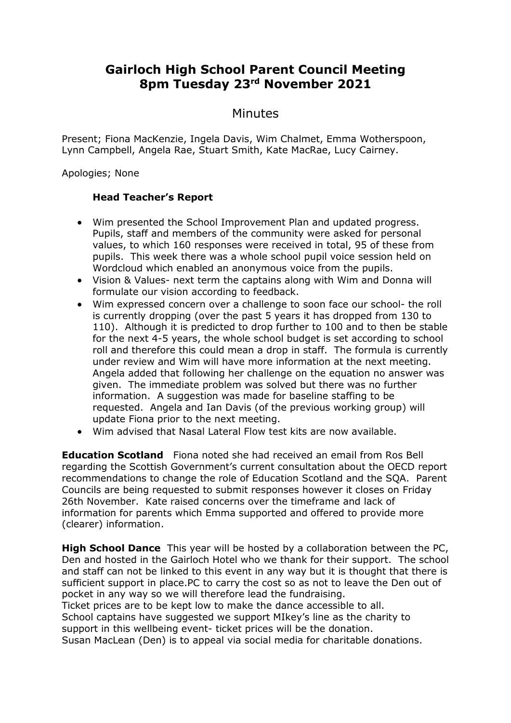## **Gairloch High School Parent Council Meeting 8pm Tuesday 23rd November 2021**

## Minutes

Present; Fiona MacKenzie, Ingela Davis, Wim Chalmet, Emma Wotherspoon, Lynn Campbell, Angela Rae, Stuart Smith, Kate MacRae, Lucy Cairney.

Apologies; None

## **Head Teacher's Report**

- Wim presented the School Improvement Plan and updated progress. Pupils, staff and members of the community were asked for personal values, to which 160 responses were received in total, 95 of these from pupils. This week there was a whole school pupil voice session held on Wordcloud which enabled an anonymous voice from the pupils.
- Vision & Values- next term the captains along with Wim and Donna will formulate our vision according to feedback.
- Wim expressed concern over a challenge to soon face our school- the roll is currently dropping (over the past 5 years it has dropped from 130 to 110). Although it is predicted to drop further to 100 and to then be stable for the next 4-5 years, the whole school budget is set according to school roll and therefore this could mean a drop in staff. The formula is currently under review and Wim will have more information at the next meeting. Angela added that following her challenge on the equation no answer was given. The immediate problem was solved but there was no further information. A suggestion was made for baseline staffing to be requested. Angela and Ian Davis (of the previous working group) will update Fiona prior to the next meeting.
- Wim advised that Nasal Lateral Flow test kits are now available.

**Education Scotland** Fiona noted she had received an email from Ros Bell regarding the Scottish Government's current consultation about the OECD report recommendations to change the role of Education Scotland and the SQA. Parent Councils are being requested to submit responses however it closes on Friday 26th November. Kate raised concerns over the timeframe and lack of information for parents which Emma supported and offered to provide more (clearer) information.

**High School Dance** This year will be hosted by a collaboration between the PC, Den and hosted in the Gairloch Hotel who we thank for their support. The school and staff can not be linked to this event in any way but it is thought that there is sufficient support in place.PC to carry the cost so as not to leave the Den out of pocket in any way so we will therefore lead the fundraising. Ticket prices are to be kept low to make the dance accessible to all. School captains have suggested we support MIkey's line as the charity to support in this wellbeing event- ticket prices will be the donation.

Susan MacLean (Den) is to appeal via social media for charitable donations.